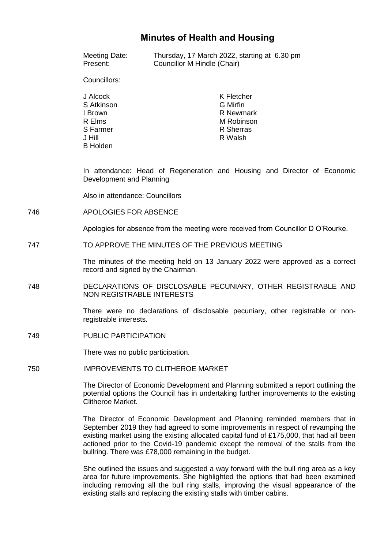# **Minutes of Health and Housing**

| Meeting Date: | Thursday, 17 March 2022, starting at 6.30 pm |  |
|---------------|----------------------------------------------|--|
| Present:      | Councillor M Hindle (Chair)                  |  |

Councillors:

| J Alcock        | K Fletcher |
|-----------------|------------|
| S Atkinson      | G Mirfin   |
| I Brown         | R Newmark  |
| R Elms          | M Robinson |
| S Farmer        | R Sherras  |
| J Hill          | R Walsh    |
| <b>B</b> Holden |            |

In attendance: Head of Regeneration and Housing and Director of Economic Development and Planning

Also in attendance: Councillors

746 APOLOGIES FOR ABSENCE

Apologies for absence from the meeting were received from Councillor D O'Rourke.

747 TO APPROVE THE MINUTES OF THE PREVIOUS MEETING

The minutes of the meeting held on 13 January 2022 were approved as a correct record and signed by the Chairman.

748 DECLARATIONS OF DISCLOSABLE PECUNIARY, OTHER REGISTRABLE AND NON REGISTRABLE INTERESTS

> There were no declarations of disclosable pecuniary, other registrable or nonregistrable interests.

749 PUBLIC PARTICIPATION

There was no public participation.

750 IMPROVEMENTS TO CLITHEROE MARKET

The Director of Economic Development and Planning submitted a report outlining the potential options the Council has in undertaking further improvements to the existing Clitheroe Market.

The Director of Economic Development and Planning reminded members that in September 2019 they had agreed to some improvements in respect of revamping the existing market using the existing allocated capital fund of £175,000, that had all been actioned prior to the Covid-19 pandemic except the removal of the stalls from the bullring. There was £78,000 remaining in the budget.

She outlined the issues and suggested a way forward with the bull ring area as a key area for future improvements. She highlighted the options that had been examined including removing all the bull ring stalls, improving the visual appearance of the existing stalls and replacing the existing stalls with timber cabins.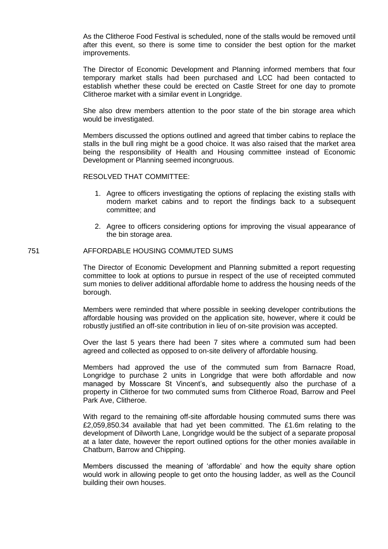As the Clitheroe Food Festival is scheduled, none of the stalls would be removed until after this event, so there is some time to consider the best option for the market improvements.

The Director of Economic Development and Planning informed members that four temporary market stalls had been purchased and LCC had been contacted to establish whether these could be erected on Castle Street for one day to promote Clitheroe market with a similar event in Longridge.

She also drew members attention to the poor state of the bin storage area which would be investigated.

Members discussed the options outlined and agreed that timber cabins to replace the stalls in the bull ring might be a good choice. It was also raised that the market area being the responsibility of Health and Housing committee instead of Economic Development or Planning seemed incongruous.

## RESOLVED THAT COMMITTEE:

- 1. Agree to officers investigating the options of replacing the existing stalls with modern market cabins and to report the findings back to a subsequent committee; and
- 2. Agree to officers considering options for improving the visual appearance of the bin storage area.

#### 751 AFFORDABLE HOUSING COMMUTED SUMS

The Director of Economic Development and Planning submitted a report requesting committee to look at options to pursue in respect of the use of receipted commuted sum monies to deliver additional affordable home to address the housing needs of the borough.

Members were reminded that where possible in seeking developer contributions the affordable housing was provided on the application site, however, where it could be robustly justified an off-site contribution in lieu of on-site provision was accepted.

Over the last 5 years there had been 7 sites where a commuted sum had been agreed and collected as opposed to on-site delivery of affordable housing.

Members had approved the use of the commuted sum from Barnacre Road, Longridge to purchase 2 units in Longridge that were both affordable and now managed by Mosscare St Vincent's, and subsequently also the purchase of a property in Clitheroe for two commuted sums from Clitheroe Road, Barrow and Peel Park Ave, Clitheroe.

With regard to the remaining off-site affordable housing commuted sums there was £2,059,850.34 available that had yet been committed. The £1.6m relating to the development of Dilworth Lane, Longridge would be the subject of a separate proposal at a later date, however the report outlined options for the other monies available in Chatburn, Barrow and Chipping.

Members discussed the meaning of 'affordable' and how the equity share option would work in allowing people to get onto the housing ladder, as well as the Council building their own houses.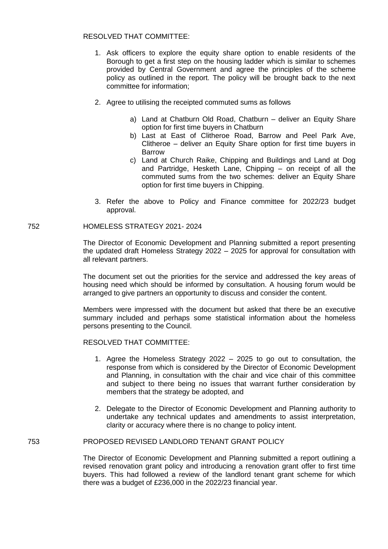## RESOLVED THAT COMMITTEE:

- 1. Ask officers to explore the equity share option to enable residents of the Borough to get a first step on the housing ladder which is similar to schemes provided by Central Government and agree the principles of the scheme policy as outlined in the report. The policy will be brought back to the next committee for information;
- 2. Agree to utilising the receipted commuted sums as follows
	- a) Land at Chatburn Old Road, Chatburn deliver an Equity Share option for first time buyers in Chatburn
	- b) Last at East of Clitheroe Road, Barrow and Peel Park Ave, Clitheroe – deliver an Equity Share option for first time buyers in Barrow
	- c) Land at Church Raike, Chipping and Buildings and Land at Dog and Partridge, Hesketh Lane, Chipping – on receipt of all the commuted sums from the two schemes: deliver an Equity Share option for first time buyers in Chipping.
- 3. Refer the above to Policy and Finance committee for 2022/23 budget approval.

## 752 HOMELESS STRATEGY 2021- 2024

The Director of Economic Development and Planning submitted a report presenting the updated draft Homeless Strategy 2022 – 2025 for approval for consultation with all relevant partners.

The document set out the priorities for the service and addressed the key areas of housing need which should be informed by consultation. A housing forum would be arranged to give partners an opportunity to discuss and consider the content.

Members were impressed with the document but asked that there be an executive summary included and perhaps some statistical information about the homeless persons presenting to the Council.

#### RESOLVED THAT COMMITTEE:

- 1. Agree the Homeless Strategy 2022 2025 to go out to consultation, the response from which is considered by the Director of Economic Development and Planning, in consultation with the chair and vice chair of this committee and subject to there being no issues that warrant further consideration by members that the strategy be adopted, and
- 2. Delegate to the Director of Economic Development and Planning authority to undertake any technical updates and amendments to assist interpretation, clarity or accuracy where there is no change to policy intent.

# 753 PROPOSED REVISED LANDLORD TENANT GRANT POLICY

The Director of Economic Development and Planning submitted a report outlining a revised renovation grant policy and introducing a renovation grant offer to first time buyers. This had followed a review of the landlord tenant grant scheme for which there was a budget of £236,000 in the 2022/23 financial year.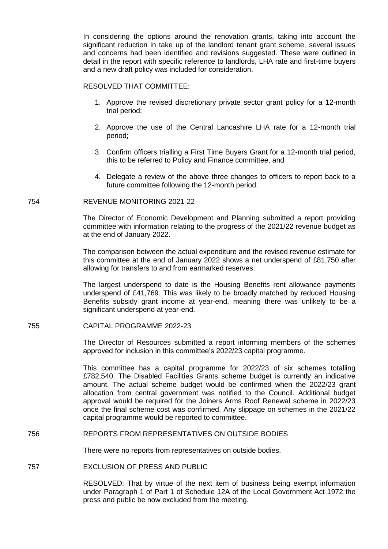In considering the options around the renovation grants, taking into account the significant reduction in take up of the landlord tenant grant scheme, several issues and concerns had been identified and revisions suggested. These were outlined in detail in the report with specific reference to landlords, LHA rate and first-time buyers and a new draft policy was included for consideration.

#### RESOLVED THAT COMMITTEE:

- 1. Approve the revised discretionary private sector grant policy for a 12-month trial period;
- 2. Approve the use of the Central Lancashire LHA rate for a 12-month trial period;
- 3. Confirm officers trialling a First Time Buyers Grant for a 12-month trial period, this to be referred to Policy and Finance committee, and
- 4. Delegate a review of the above three changes to officers to report back to a future committee following the 12-month period.

## 754 REVENUE MONITORING 2021-22

The Director of Economic Development and Planning submitted a report providing committee with information relating to the progress of the 2021/22 revenue budget as at the end of January 2022.

The comparison between the actual expenditure and the revised revenue estimate for this committee at the end of January 2022 shows a net underspend of £81,750 after allowing for transfers to and from earmarked reserves.

The largest underspend to date is the Housing Benefits rent allowance payments underspend of £41,769. This was likely to be broadly matched by reduced Housing Benefits subsidy grant income at year-end, meaning there was unlikely to be a significant underspend at year-end.

#### 755 CAPITAL PROGRAMME 2022-23

The Director of Resources submitted a report informing members of the schemes approved for inclusion in this committee's 2022/23 capital programme.

This committee has a capital programme for 2022/23 of six schemes totalling £782,540. The Disabled Facilities Grants scheme budget is currently an indicative amount. The actual scheme budget would be confirmed when the 2022/23 grant allocation from central government was notified to the Council. Additional budget approval would be required for the Joiners Arms Roof Renewal scheme in 2022/23 once the final scheme cost was confirmed. Any slippage on schemes in the 2021/22 capital programme would be reported to committee.

#### 756 REPORTS FROM REPRESENTATIVES ON OUTSIDE BODIES

There were no reports from representatives on outside bodies.

## 757 EXCLUSION OF PRESS AND PUBLIC

RESOLVED: That by virtue of the next item of business being exempt information under Paragraph 1 of Part 1 of Schedule 12A of the Local Government Act 1972 the press and public be now excluded from the meeting.